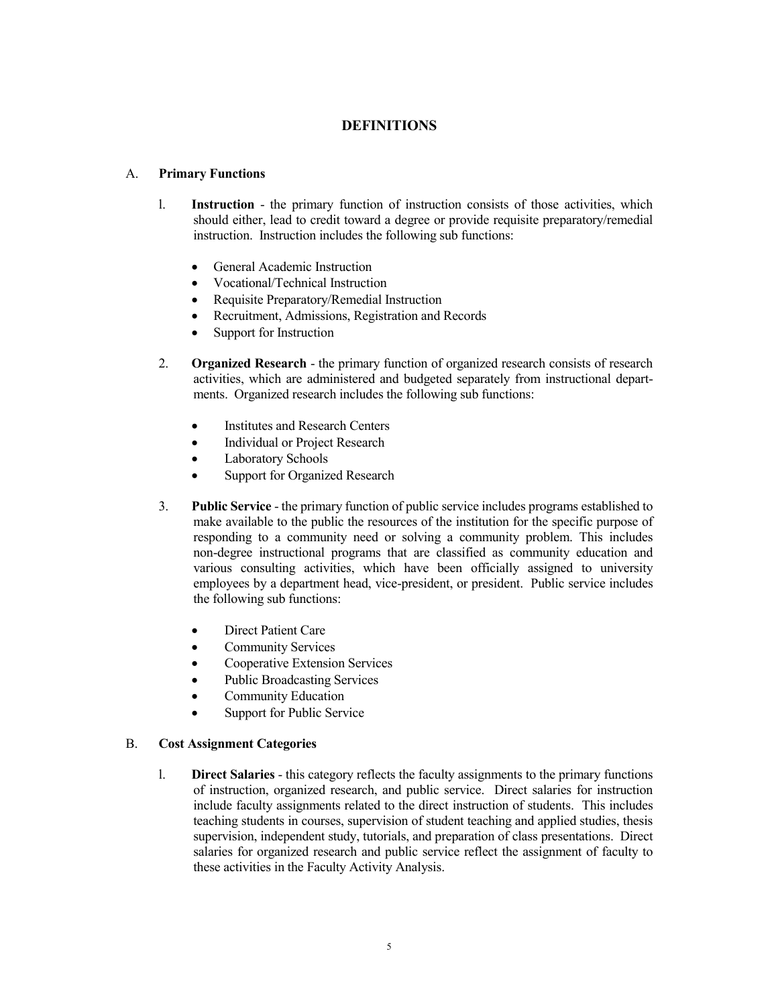## **DEFINITIONS**

## A. **Primary Functions**

- l. **Instruction** the primary function of instruction consists of those activities, which should either, lead to credit toward a degree or provide requisite preparatory/remedial instruction. Instruction includes the following sub functions:
	- General Academic Instruction
	- Vocational/Technical Instruction
	- x Requisite Preparatory/Remedial Instruction
	- Recruitment, Admissions, Registration and Records
	- Support for Instruction
- 2. **Organized Research** the primary function of organized research consists of research activities, which are administered and budgeted separately from instructional departments. Organized research includes the following sub functions:
	- **Institutes and Research Centers**
	- Individual or Project Research
	- Laboratory Schools
	- Support for Organized Research
- 3. **Public Service** the primary function of public service includes programs established to make available to the public the resources of the institution for the specific purpose of responding to a community need or solving a community problem. This includes non-degree instructional programs that are classified as community education and various consulting activities, which have been officially assigned to university employees by a department head, vice-president, or president. Public service includes the following sub functions:
	- Direct Patient Care
	- **Community Services**
	- Cooperative Extension Services
	- Public Broadcasting Services
	- Community Education
	- Support for Public Service

## B. **Cost Assignment Categories**

l. **Direct Salaries** - this category reflects the faculty assignments to the primary functions of instruction, organized research, and public service. Direct salaries for instruction include faculty assignments related to the direct instruction of students. This includes teaching students in courses, supervision of student teaching and applied studies, thesis supervision, independent study, tutorials, and preparation of class presentations. Direct salaries for organized research and public service reflect the assignment of faculty to these activities in the Faculty Activity Analysis.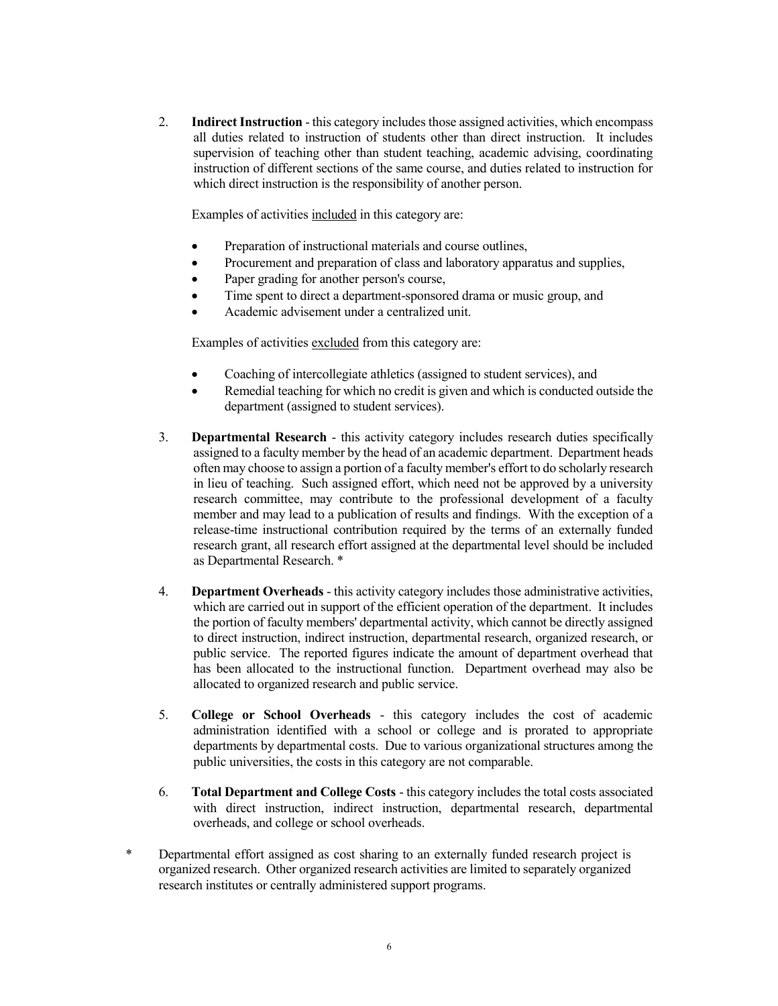2. **Indirect Instruction** - this category includes those assigned activities, which encompass all duties related to instruction of students other than direct instruction. It includes supervision of teaching other than student teaching, academic advising, coordinating instruction of different sections of the same course, and duties related to instruction for which direct instruction is the responsibility of another person.

Examples of activities included in this category are:

- Preparation of instructional materials and course outlines,
- Procurement and preparation of class and laboratory apparatus and supplies,
- Paper grading for another person's course,
- Time spent to direct a department-sponsored drama or music group, and
- Academic advisement under a centralized unit.

Examples of activities excluded from this category are:

- Coaching of intercollegiate athletics (assigned to student services), and
- Remedial teaching for which no credit is given and which is conducted outside the department (assigned to student services).
- 3. **Departmental Research** this activity category includes research duties specifically assigned to a faculty member by the head of an academic department. Department heads often may choose to assign a portion of a faculty member's effort to do scholarly research in lieu of teaching. Such assigned effort, which need not be approved by a university research committee, may contribute to the professional development of a faculty member and may lead to a publication of results and findings. With the exception of a release-time instructional contribution required by the terms of an externally funded research grant, all research effort assigned at the departmental level should be included as Departmental Research. \*
- 4. **Department Overheads** this activity category includes those administrative activities, which are carried out in support of the efficient operation of the department. It includes the portion of faculty members' departmental activity, which cannot be directly assigned to direct instruction, indirect instruction, departmental research, organized research, or public service. The reported figures indicate the amount of department overhead that has been allocated to the instructional function. Department overhead may also be allocated to organized research and public service.
- 5. **College or School Overheads** this category includes the cost of academic administration identified with a school or college and is prorated to appropriate departments by departmental costs. Due to various organizational structures among the public universities, the costs in this category are not comparable.
- 6. **Total Department and College Costs** this category includes the total costs associated with direct instruction, indirect instruction, departmental research, departmental overheads, and college or school overheads.
- Departmental effort assigned as cost sharing to an externally funded research project is organized research. Other organized research activities are limited to separately organized research institutes or centrally administered support programs.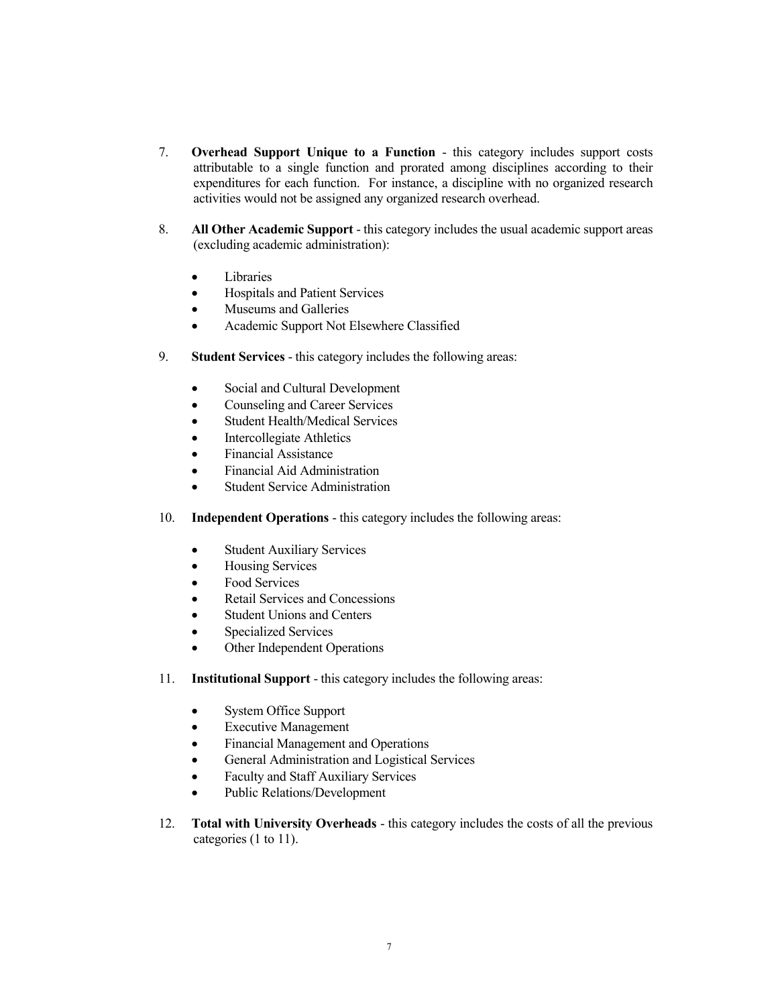- 7. **Overhead Support Unique to a Function** this category includes support costs attributable to a single function and prorated among disciplines according to their expenditures for each function. For instance, a discipline with no organized research activities would not be assigned any organized research overhead.
- 8. **All Other Academic Support** this category includes the usual academic support areas (excluding academic administration):
	- Libraries
	- Hospitals and Patient Services
	- Museums and Galleries
	- Academic Support Not Elsewhere Classified
- 9. **Student Services** this category includes the following areas:
	- Social and Cultural Development
	- Counseling and Career Services
	- Student Health/Medical Services
	- Intercollegiate Athletics
	- Financial Assistance
	- Financial Aid Administration
	- Student Service Administration
- 10. **Independent Operations** this category includes the following areas:
	- Student Auxiliary Services
	- Housing Services
	- Food Services
	- Retail Services and Concessions
	- Student Unions and Centers
	- Specialized Services
	- Other Independent Operations
- 11. **Institutional Support** this category includes the following areas:
	- System Office Support
	- **Executive Management**
	- Financial Management and Operations
	- **•** General Administration and Logistical Services
	- Faculty and Staff Auxiliary Services
	- Public Relations/Development
- 12. **Total with University Overheads** this category includes the costs of all the previous categories (1 to 11).